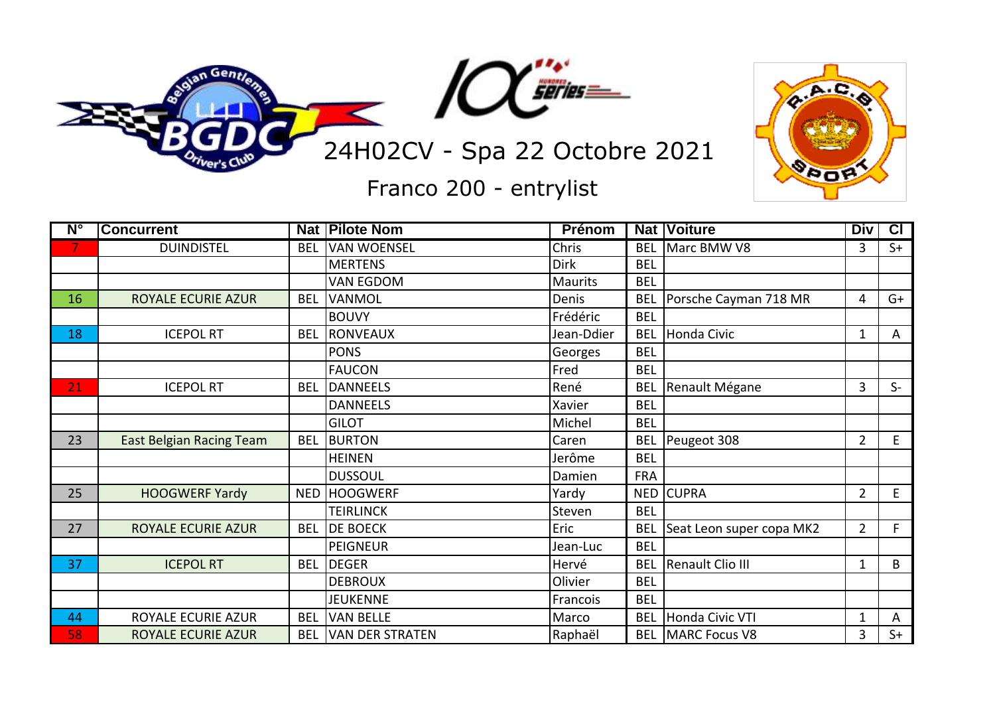



Franco 200 - entrylist

| $N^{\circ}$ | <b>Concurrent</b>               |            | <b>Nat Pilote Nom</b>  | <b>Prénom</b>  |            | <b>Nat Voiture</b>       | <b>Div</b>     | $\overline{c}$ |
|-------------|---------------------------------|------------|------------------------|----------------|------------|--------------------------|----------------|----------------|
| 7.          | <b>DUINDISTEL</b>               | <b>BEL</b> | <b>VAN WOENSEL</b>     | Chris          | <b>BEL</b> | Marc BMW V8              | 3              | $S+$           |
|             |                                 |            | <b>MERTENS</b>         | <b>Dirk</b>    | <b>BEL</b> |                          |                |                |
|             |                                 |            | <b>VAN EGDOM</b>       | <b>Maurits</b> | <b>BEL</b> |                          |                |                |
| 16          | ROYALE ECURIE AZUR              | <b>BEL</b> | <b>VANMOL</b>          | Denis          | <b>BEL</b> | Porsche Cayman 718 MR    | 4              | $G+$           |
|             |                                 |            | <b>BOUVY</b>           | Frédéric       | <b>BEL</b> |                          |                |                |
| 18          | <b>ICEPOL RT</b>                | <b>BEL</b> | RONVEAUX               | Jean-Ddier     | <b>BEL</b> | Honda Civic              | 1              | A              |
|             |                                 |            | <b>PONS</b>            | Georges        | <b>BEL</b> |                          |                |                |
|             |                                 |            | <b>FAUCON</b>          | Fred           | <b>BEL</b> |                          |                |                |
| 21          | <b>ICEPOL RT</b>                | <b>BEL</b> | <b>DANNEELS</b>        | René           | <b>BEL</b> | Renault Mégane           | 3              | $S-$           |
|             |                                 |            | <b>DANNEELS</b>        | Xavier         | <b>BEL</b> |                          |                |                |
|             |                                 |            | <b>GILOT</b>           | Michel         | <b>BEL</b> |                          |                |                |
| 23          | <b>East Belgian Racing Team</b> | <b>BEL</b> | <b>BURTON</b>          | Caren          | <b>BEL</b> | Peugeot 308              | $\overline{2}$ | E              |
|             |                                 |            | <b>HEINEN</b>          | Jerôme         | <b>BEL</b> |                          |                |                |
|             |                                 |            | <b>DUSSOUL</b>         | Damien         | <b>FRA</b> |                          |                |                |
| 25          | <b>HOOGWERF Yardy</b>           | <b>NED</b> | <b>HOOGWERF</b>        | Yardy          |            | NED CUPRA                | $\overline{2}$ | E              |
|             |                                 |            | <b>TEIRLINCK</b>       | Steven         | <b>BEL</b> |                          |                |                |
| 27          | <b>ROYALE ECURIE AZUR</b>       | <b>BEL</b> | <b>DE BOECK</b>        | Eric           | <b>BEL</b> | Seat Leon super copa MK2 | $\overline{2}$ | F              |
|             |                                 |            | <b>PEIGNEUR</b>        | Jean-Luc       | <b>BEL</b> |                          |                |                |
| 37          | <b>ICEPOL RT</b>                | <b>BEL</b> | <b>DEGER</b>           | Hervé          | <b>BEL</b> | Renault Clio III         | 1              | B              |
|             |                                 |            | <b>DEBROUX</b>         | Olivier        | <b>BEL</b> |                          |                |                |
|             |                                 |            | <b>JEUKENNE</b>        | Francois       | <b>BEL</b> |                          |                |                |
| 44          | ROYALE ECURIE AZUR              | <b>BEL</b> | <b>VAN BELLE</b>       | Marco          | <b>BEL</b> | Honda Civic VTI          | $\mathbf{1}$   | A              |
| 58          | ROYALE ECURIE AZUR              | <b>BEL</b> | <b>VAN DER STRATEN</b> | Raphaël        |            | <b>BEL MARC Focus V8</b> | 3              | $S+$           |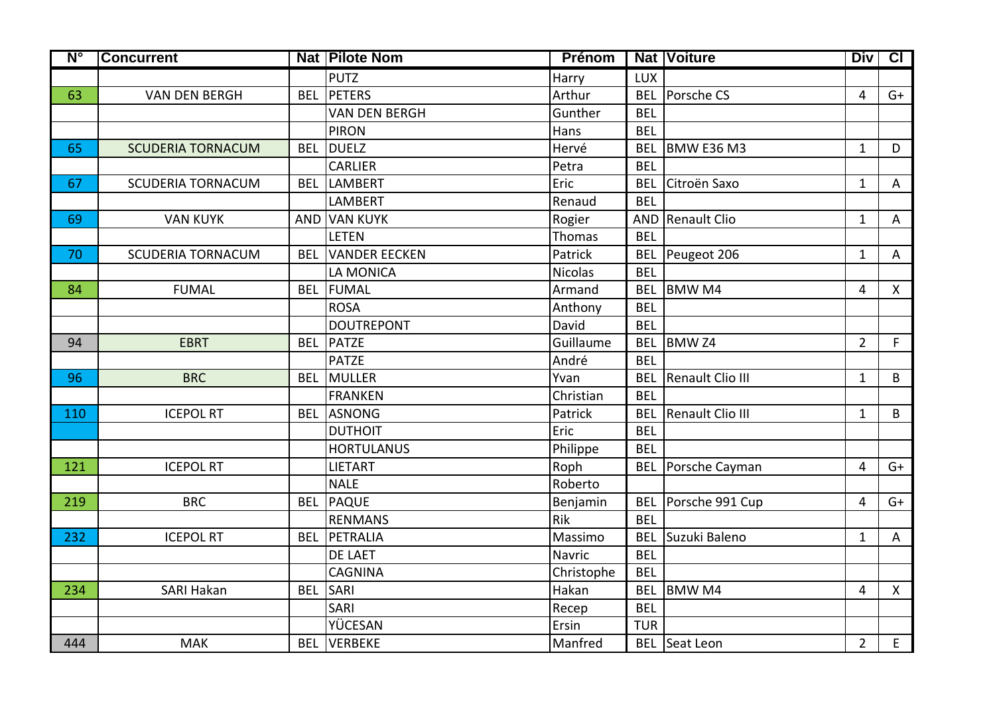| $N^{\circ}$ | <b>Concurrent</b>        |            | <b>Nat Pilote Nom</b> | <b>Prénom</b>  |            | <b>Nat Voiture</b>          | <b>Div</b>     | $\overline{c}$ |
|-------------|--------------------------|------------|-----------------------|----------------|------------|-----------------------------|----------------|----------------|
|             |                          |            | <b>PUTZ</b>           | Harry          | <b>LUX</b> |                             |                |                |
| 63          | <b>VAN DEN BERGH</b>     | <b>BEL</b> | PETERS                | Arthur         |            | <b>BEL</b> Porsche CS       | $\overline{4}$ | $G+$           |
|             |                          |            | <b>VAN DEN BERGH</b>  | Gunther        | <b>BEL</b> |                             |                |                |
|             |                          |            | <b>PIRON</b>          | Hans           | <b>BEL</b> |                             |                |                |
| 65          | <b>SCUDERIA TORNACUM</b> | <b>BEL</b> | <b>DUELZ</b>          | Hervé          | <b>BEL</b> | BMW E36 M3                  | $\mathbf{1}$   | D              |
|             |                          |            | <b>CARLIER</b>        | Petra          | <b>BEL</b> |                             |                |                |
| 67          | <b>SCUDERIA TORNACUM</b> | <b>BEL</b> | <b>LAMBERT</b>        | Eric           | <b>BEL</b> | Citroën Saxo                | $\mathbf{1}$   | A              |
|             |                          |            | <b>LAMBERT</b>        | Renaud         | <b>BEL</b> |                             |                |                |
| 69          | <b>VAN KUYK</b>          |            | AND VAN KUYK          | Rogier         |            | AND Renault Clio            | $\mathbf{1}$   | A              |
|             |                          |            | <b>LETEN</b>          | Thomas         | <b>BEL</b> |                             |                |                |
| 70          | <b>SCUDERIA TORNACUM</b> | <b>BEL</b> | <b>VANDER EECKEN</b>  | Patrick        |            | BEL Peugeot 206             | $\mathbf{1}$   | $\overline{A}$ |
|             |                          |            | LA MONICA             | <b>Nicolas</b> | <b>BEL</b> |                             |                |                |
| 84          | <b>FUMAL</b>             | <b>BEL</b> | FUMAL                 | Armand         |            | BEL BMW M4                  | $\overline{4}$ | $\mathsf{X}$   |
|             |                          |            | <b>ROSA</b>           | Anthony        | <b>BEL</b> |                             |                |                |
|             |                          |            | <b>DOUTREPONT</b>     | David          | <b>BEL</b> |                             |                |                |
| 94          | <b>EBRT</b>              | <b>BEL</b> | PATZE                 | Guillaume      | <b>BEL</b> | BMW <sub>Z4</sub>           | $\overline{2}$ | F              |
|             |                          |            | <b>PATZE</b>          | André          | <b>BEL</b> |                             |                |                |
| 96          | <b>BRC</b>               | <b>BEL</b> | MULLER                | Yvan           |            | <b>BEL</b> Renault Clio III | $\mathbf{1}$   | B              |
|             |                          |            | <b>FRANKEN</b>        | Christian      | <b>BEL</b> |                             |                |                |
| 110         | <b>ICEPOL RT</b>         | <b>BEL</b> | <b>ASNONG</b>         | Patrick        |            | <b>BEL</b> Renault Clio III | $\mathbf{1}$   | B              |
|             |                          |            | <b>DUTHOIT</b>        | Eric           | <b>BEL</b> |                             |                |                |
|             |                          |            | <b>HORTULANUS</b>     | Philippe       | <b>BEL</b> |                             |                |                |
| 121         | <b>ICEPOL RT</b>         |            | <b>LIETART</b>        | Roph           |            | BEL Porsche Cayman          | $\overline{4}$ | $G+$           |
|             |                          |            | <b>NALE</b>           | Roberto        |            |                             |                |                |
| 219         | <b>BRC</b>               | <b>BEL</b> | PAQUE                 | Benjamin       |            | BEL Porsche 991 Cup         | $\overline{4}$ | $G+$           |
|             |                          |            | <b>RENMANS</b>        | <b>Rik</b>     | <b>BEL</b> |                             |                |                |
| 232         | <b>ICEPOL RT</b>         | <b>BEL</b> | PETRALIA              | Massimo        |            | <b>BEL</b> Suzuki Baleno    | $\mathbf{1}$   | $\overline{A}$ |
|             |                          |            | DE LAET               | Navric         | <b>BEL</b> |                             |                |                |
|             |                          |            | <b>CAGNINA</b>        | Christophe     | <b>BEL</b> |                             |                |                |
| 234         | <b>SARI Hakan</b>        | <b>BEL</b> | <b>SARI</b>           | Hakan          | <b>BEL</b> | <b>BMW M4</b>               | $\overline{4}$ | $\mathsf{X}$   |
|             |                          |            | <b>SARI</b>           | Recep          | <b>BEL</b> |                             |                |                |
|             |                          |            | YÜCESAN               | Ersin          | <b>TUR</b> |                             |                |                |
| 444         | <b>MAK</b>               |            | <b>BEL VERBEKE</b>    | Manfred        |            | <b>BEL</b> Seat Leon        | $\overline{2}$ | E              |